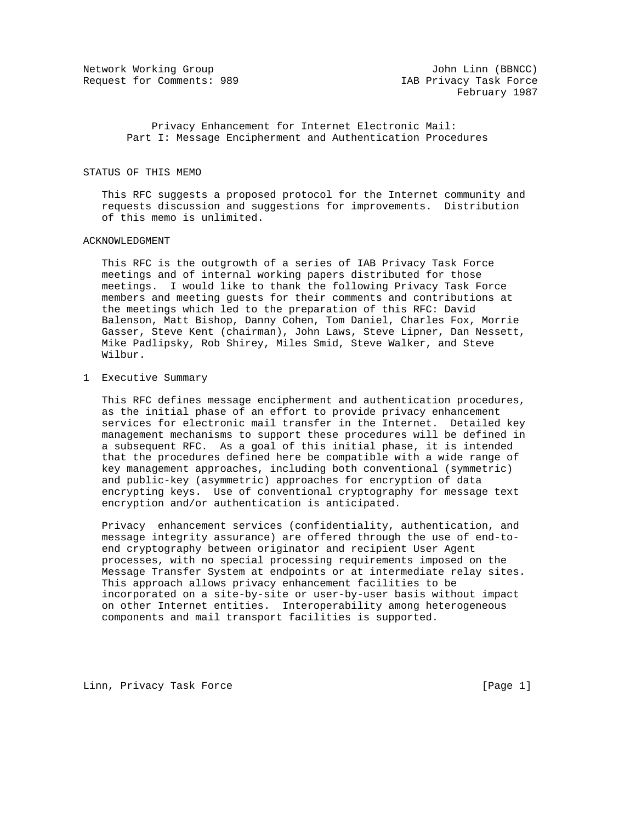Network Working Group John Linn (BBNCC) Request for Comments: 989 **IAB** Privacy Task Force

 Privacy Enhancement for Internet Electronic Mail: Part I: Message Encipherment and Authentication Procedures

#### STATUS OF THIS MEMO

 This RFC suggests a proposed protocol for the Internet community and requests discussion and suggestions for improvements. Distribution of this memo is unlimited.

#### ACKNOWLEDGMENT

 This RFC is the outgrowth of a series of IAB Privacy Task Force meetings and of internal working papers distributed for those meetings. I would like to thank the following Privacy Task Force members and meeting guests for their comments and contributions at the meetings which led to the preparation of this RFC: David Balenson, Matt Bishop, Danny Cohen, Tom Daniel, Charles Fox, Morrie Gasser, Steve Kent (chairman), John Laws, Steve Lipner, Dan Nessett, Mike Padlipsky, Rob Shirey, Miles Smid, Steve Walker, and Steve Wilbur.

1 Executive Summary

 This RFC defines message encipherment and authentication procedures, as the initial phase of an effort to provide privacy enhancement services for electronic mail transfer in the Internet. Detailed key management mechanisms to support these procedures will be defined in a subsequent RFC. As a goal of this initial phase, it is intended that the procedures defined here be compatible with a wide range of key management approaches, including both conventional (symmetric) and public-key (asymmetric) approaches for encryption of data encrypting keys. Use of conventional cryptography for message text encryption and/or authentication is anticipated.

 Privacy enhancement services (confidentiality, authentication, and message integrity assurance) are offered through the use of end-to end cryptography between originator and recipient User Agent processes, with no special processing requirements imposed on the Message Transfer System at endpoints or at intermediate relay sites. This approach allows privacy enhancement facilities to be incorporated on a site-by-site or user-by-user basis without impact on other Internet entities. Interoperability among heterogeneous components and mail transport facilities is supported.

Linn, Privacy Task Force [Page 1]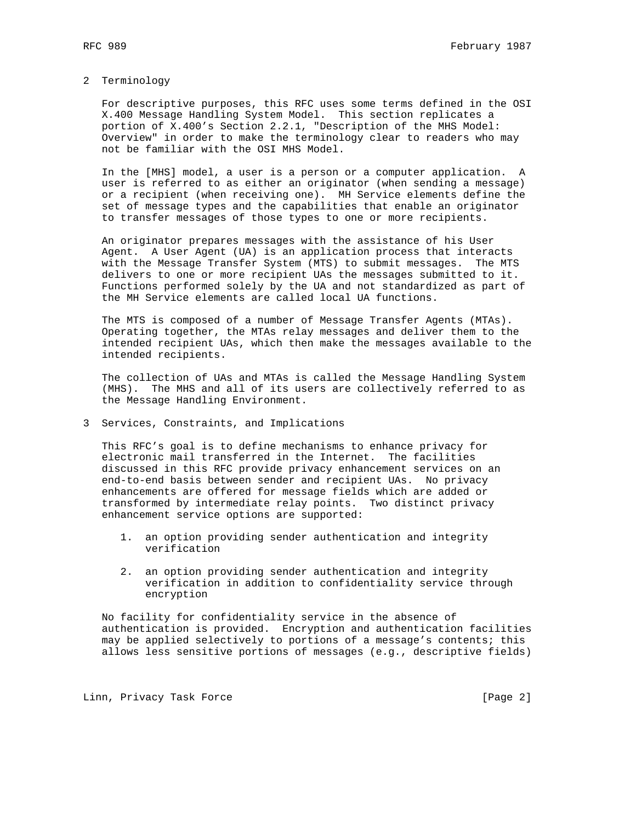#### 2 Terminology

 For descriptive purposes, this RFC uses some terms defined in the OSI X.400 Message Handling System Model. This section replicates a portion of X.400's Section 2.2.1, "Description of the MHS Model: Overview" in order to make the terminology clear to readers who may not be familiar with the OSI MHS Model.

 In the [MHS] model, a user is a person or a computer application. A user is referred to as either an originator (when sending a message) or a recipient (when receiving one). MH Service elements define the set of message types and the capabilities that enable an originator to transfer messages of those types to one or more recipients.

 An originator prepares messages with the assistance of his User Agent. A User Agent (UA) is an application process that interacts with the Message Transfer System (MTS) to submit messages. The MTS delivers to one or more recipient UAs the messages submitted to it. Functions performed solely by the UA and not standardized as part of the MH Service elements are called local UA functions.

 The MTS is composed of a number of Message Transfer Agents (MTAs). Operating together, the MTAs relay messages and deliver them to the intended recipient UAs, which then make the messages available to the intended recipients.

 The collection of UAs and MTAs is called the Message Handling System (MHS). The MHS and all of its users are collectively referred to as the Message Handling Environment.

3 Services, Constraints, and Implications

 This RFC's goal is to define mechanisms to enhance privacy for electronic mail transferred in the Internet. The facilities discussed in this RFC provide privacy enhancement services on an end-to-end basis between sender and recipient UAs. No privacy enhancements are offered for message fields which are added or transformed by intermediate relay points. Two distinct privacy enhancement service options are supported:

- 1. an option providing sender authentication and integrity verification
- 2. an option providing sender authentication and integrity verification in addition to confidentiality service through encryption

 No facility for confidentiality service in the absence of authentication is provided. Encryption and authentication facilities may be applied selectively to portions of a message's contents; this allows less sensitive portions of messages (e.g., descriptive fields)

Linn, Privacy Task Force **Example 2** 2 and 2 and 2 and 2 and 2 and 2 and 2 and 2 and 2 and 2 and 2 and 2 and 2 and 2 and 2 and 2 and 2 and 2 and 2 and 2 and 2 and 2 and 2 and 2 and 2 and 2 and 2 and 2 and 2 and 2 and 2 and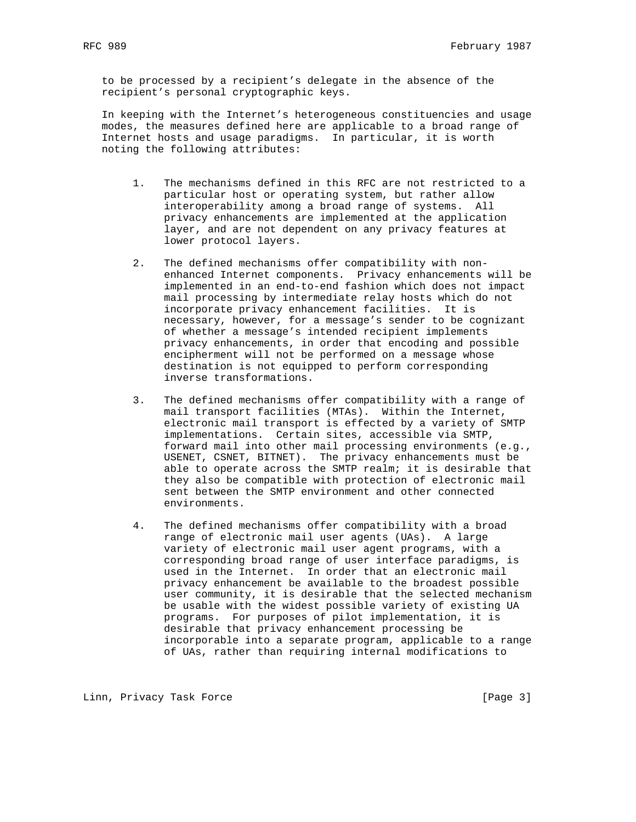to be processed by a recipient's delegate in the absence of the recipient's personal cryptographic keys.

 In keeping with the Internet's heterogeneous constituencies and usage modes, the measures defined here are applicable to a broad range of Internet hosts and usage paradigms. In particular, it is worth noting the following attributes:

- 1. The mechanisms defined in this RFC are not restricted to a particular host or operating system, but rather allow interoperability among a broad range of systems. All privacy enhancements are implemented at the application layer, and are not dependent on any privacy features at lower protocol layers.
- 2. The defined mechanisms offer compatibility with non enhanced Internet components. Privacy enhancements will be implemented in an end-to-end fashion which does not impact mail processing by intermediate relay hosts which do not incorporate privacy enhancement facilities. It is necessary, however, for a message's sender to be cognizant of whether a message's intended recipient implements privacy enhancements, in order that encoding and possible encipherment will not be performed on a message whose destination is not equipped to perform corresponding inverse transformations.
- 3. The defined mechanisms offer compatibility with a range of mail transport facilities (MTAs). Within the Internet, electronic mail transport is effected by a variety of SMTP implementations. Certain sites, accessible via SMTP, forward mail into other mail processing environments (e.g., USENET, CSNET, BITNET). The privacy enhancements must be able to operate across the SMTP realm; it is desirable that they also be compatible with protection of electronic mail sent between the SMTP environment and other connected environments.
- 4. The defined mechanisms offer compatibility with a broad range of electronic mail user agents (UAs). A large variety of electronic mail user agent programs, with a corresponding broad range of user interface paradigms, is used in the Internet. In order that an electronic mail privacy enhancement be available to the broadest possible user community, it is desirable that the selected mechanism be usable with the widest possible variety of existing UA programs. For purposes of pilot implementation, it is desirable that privacy enhancement processing be incorporable into a separate program, applicable to a range of UAs, rather than requiring internal modifications to

Linn, Privacy Task Force **Example 20** (Page 3)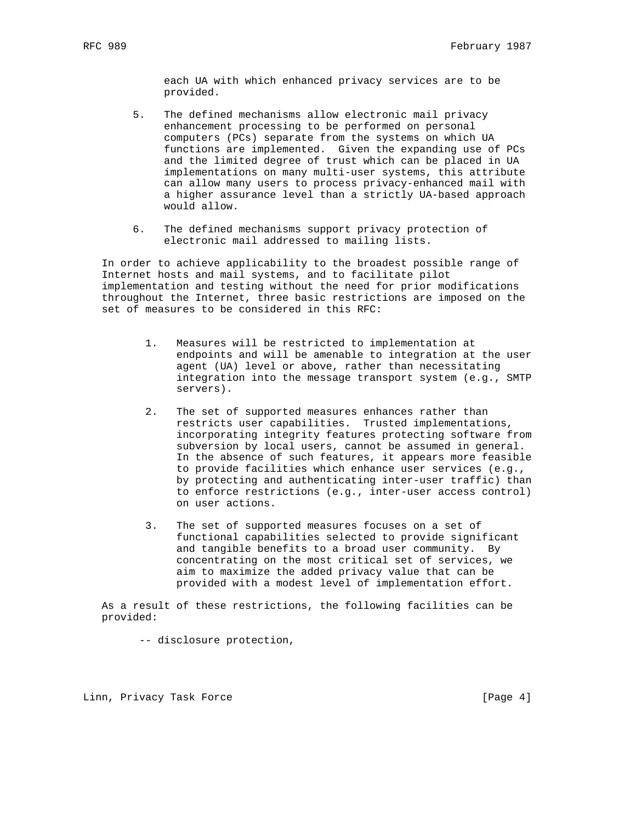each UA with which enhanced privacy services are to be provided.

- 5. The defined mechanisms allow electronic mail privacy enhancement processing to be performed on personal computers (PCs) separate from the systems on which UA functions are implemented. Given the expanding use of PCs and the limited degree of trust which can be placed in UA implementations on many multi-user systems, this attribute can allow many users to process privacy-enhanced mail with a higher assurance level than a strictly UA-based approach would allow.
- 6. The defined mechanisms support privacy protection of electronic mail addressed to mailing lists.

 In order to achieve applicability to the broadest possible range of Internet hosts and mail systems, and to facilitate pilot implementation and testing without the need for prior modifications throughout the Internet, three basic restrictions are imposed on the set of measures to be considered in this RFC:

- 1. Measures will be restricted to implementation at endpoints and will be amenable to integration at the user agent (UA) level or above, rather than necessitating integration into the message transport system (e.g., SMTP servers).
- 2. The set of supported measures enhances rather than restricts user capabilities. Trusted implementations, incorporating integrity features protecting software from subversion by local users, cannot be assumed in general. In the absence of such features, it appears more feasible to provide facilities which enhance user services (e.g., by protecting and authenticating inter-user traffic) than to enforce restrictions (e.g., inter-user access control) on user actions.
- 3. The set of supported measures focuses on a set of functional capabilities selected to provide significant and tangible benefits to a broad user community. By concentrating on the most critical set of services, we aim to maximize the added privacy value that can be provided with a modest level of implementation effort.

 As a result of these restrictions, the following facilities can be provided:

-- disclosure protection,

Linn, Privacy Task Force **Example 2018** [Page 4]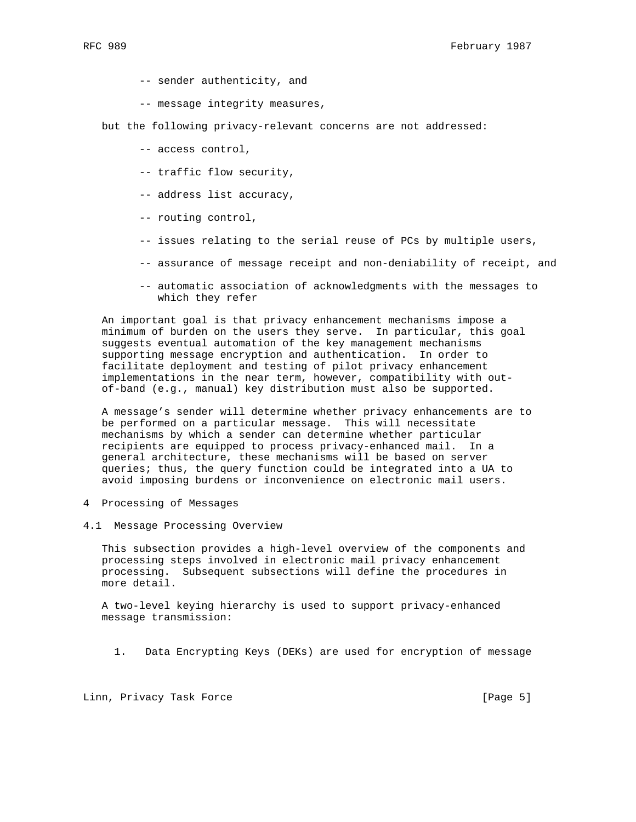- -- sender authenticity, and
- -- message integrity measures,

but the following privacy-relevant concerns are not addressed:

- -- access control,
- -- traffic flow security,
- -- address list accuracy,
- -- routing control,
- -- issues relating to the serial reuse of PCs by multiple users,
- -- assurance of message receipt and non-deniability of receipt, and
- -- automatic association of acknowledgments with the messages to which they refer

 An important goal is that privacy enhancement mechanisms impose a minimum of burden on the users they serve. In particular, this goal suggests eventual automation of the key management mechanisms supporting message encryption and authentication. In order to facilitate deployment and testing of pilot privacy enhancement implementations in the near term, however, compatibility with out of-band (e.g., manual) key distribution must also be supported.

 A message's sender will determine whether privacy enhancements are to be performed on a particular message. This will necessitate mechanisms by which a sender can determine whether particular recipients are equipped to process privacy-enhanced mail. In a general architecture, these mechanisms will be based on server queries; thus, the query function could be integrated into a UA to avoid imposing burdens or inconvenience on electronic mail users.

- 4 Processing of Messages
- 4.1 Message Processing Overview

 This subsection provides a high-level overview of the components and processing steps involved in electronic mail privacy enhancement processing. Subsequent subsections will define the procedures in more detail.

 A two-level keying hierarchy is used to support privacy-enhanced message transmission:

1. Data Encrypting Keys (DEKs) are used for encryption of message

Linn, Privacy Task Force **Example 2018** [Page 5]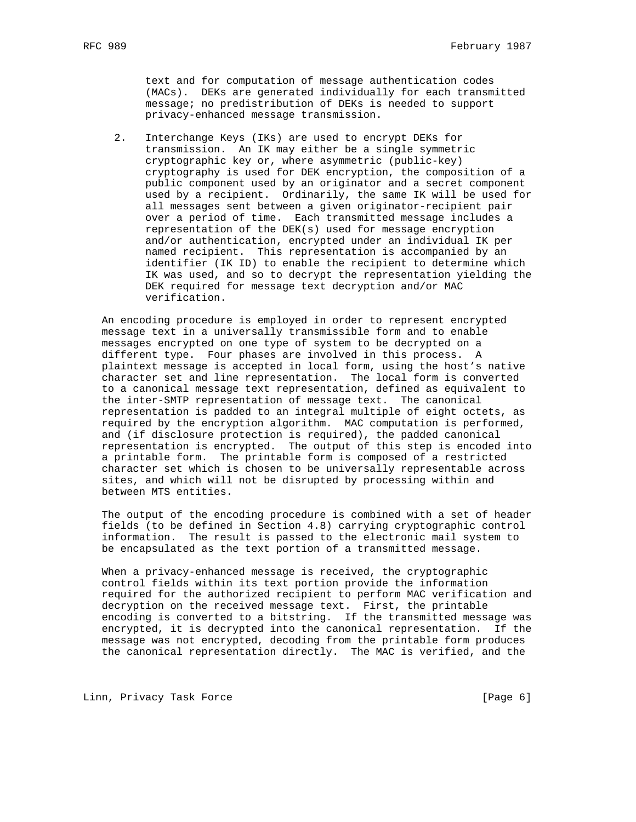text and for computation of message authentication codes (MACs). DEKs are generated individually for each transmitted message; no predistribution of DEKs is needed to support privacy-enhanced message transmission.

 2. Interchange Keys (IKs) are used to encrypt DEKs for transmission. An IK may either be a single symmetric cryptographic key or, where asymmetric (public-key) cryptography is used for DEK encryption, the composition of a public component used by an originator and a secret component used by a recipient. Ordinarily, the same IK will be used for all messages sent between a given originator-recipient pair over a period of time. Each transmitted message includes a representation of the DEK(s) used for message encryption and/or authentication, encrypted under an individual IK per named recipient. This representation is accompanied by an identifier (IK ID) to enable the recipient to determine which IK was used, and so to decrypt the representation yielding the DEK required for message text decryption and/or MAC verification.

 An encoding procedure is employed in order to represent encrypted message text in a universally transmissible form and to enable messages encrypted on one type of system to be decrypted on a different type. Four phases are involved in this process. A plaintext message is accepted in local form, using the host's native character set and line representation. The local form is converted to a canonical message text representation, defined as equivalent to the inter-SMTP representation of message text. The canonical representation is padded to an integral multiple of eight octets, as required by the encryption algorithm. MAC computation is performed, and (if disclosure protection is required), the padded canonical representation is encrypted. The output of this step is encoded into a printable form. The printable form is composed of a restricted character set which is chosen to be universally representable across sites, and which will not be disrupted by processing within and between MTS entities.

 The output of the encoding procedure is combined with a set of header fields (to be defined in Section 4.8) carrying cryptographic control information. The result is passed to the electronic mail system to be encapsulated as the text portion of a transmitted message.

 When a privacy-enhanced message is received, the cryptographic control fields within its text portion provide the information required for the authorized recipient to perform MAC verification and decryption on the received message text. First, the printable encoding is converted to a bitstring. If the transmitted message was encrypted, it is decrypted into the canonical representation. If the message was not encrypted, decoding from the printable form produces the canonical representation directly. The MAC is verified, and the

Linn, Privacy Task Force **East Community** (Page 6)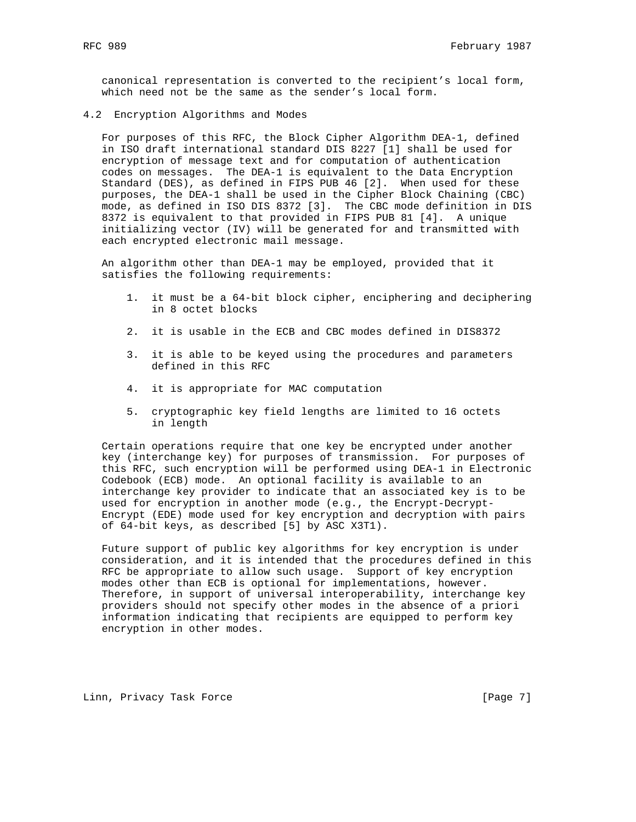canonical representation is converted to the recipient's local form, which need not be the same as the sender's local form.

4.2 Encryption Algorithms and Modes

 For purposes of this RFC, the Block Cipher Algorithm DEA-1, defined in ISO draft international standard DIS 8227 [1] shall be used for encryption of message text and for computation of authentication codes on messages. The DEA-1 is equivalent to the Data Encryption Standard (DES), as defined in FIPS PUB 46 [2]. When used for these purposes, the DEA-1 shall be used in the Cipher Block Chaining (CBC) mode, as defined in ISO DIS 8372 [3]. The CBC mode definition in DIS 8372 is equivalent to that provided in FIPS PUB 81 [4]. A unique initializing vector (IV) will be generated for and transmitted with each encrypted electronic mail message.

 An algorithm other than DEA-1 may be employed, provided that it satisfies the following requirements:

- 1. it must be a 64-bit block cipher, enciphering and deciphering in 8 octet blocks
- 2. it is usable in the ECB and CBC modes defined in DIS8372
- 3. it is able to be keyed using the procedures and parameters defined in this RFC
- 4. it is appropriate for MAC computation
- 5. cryptographic key field lengths are limited to 16 octets in length

 Certain operations require that one key be encrypted under another key (interchange key) for purposes of transmission. For purposes of this RFC, such encryption will be performed using DEA-1 in Electronic Codebook (ECB) mode. An optional facility is available to an interchange key provider to indicate that an associated key is to be used for encryption in another mode (e.g., the Encrypt-Decrypt- Encrypt (EDE) mode used for key encryption and decryption with pairs of 64-bit keys, as described [5] by ASC X3T1).

 Future support of public key algorithms for key encryption is under consideration, and it is intended that the procedures defined in this RFC be appropriate to allow such usage. Support of key encryption modes other than ECB is optional for implementations, however. Therefore, in support of universal interoperability, interchange key providers should not specify other modes in the absence of a priori information indicating that recipients are equipped to perform key encryption in other modes.

Linn, Privacy Task Force **Example 2** (Page 7)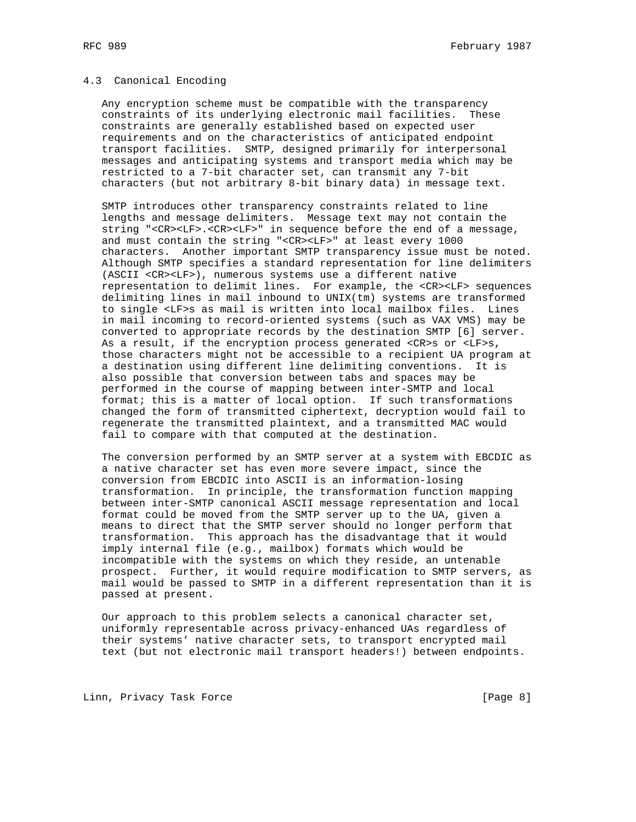## 4.3 Canonical Encoding

 Any encryption scheme must be compatible with the transparency constraints of its underlying electronic mail facilities. These constraints are generally established based on expected user requirements and on the characteristics of anticipated endpoint transport facilities. SMTP, designed primarily for interpersonal messages and anticipating systems and transport media which may be restricted to a 7-bit character set, can transmit any 7-bit characters (but not arbitrary 8-bit binary data) in message text.

 SMTP introduces other transparency constraints related to line lengths and message delimiters. Message text may not contain the string "<CR><LF>.<CR><LF>" in sequence before the end of a message, and must contain the string "<CR><LF>" at least every 1000 characters. Another important SMTP transparency issue must be noted. Although SMTP specifies a standard representation for line delimiters (ASCII <CR><LF>), numerous systems use a different native representation to delimit lines. For example, the <CR><LF> sequences delimiting lines in mail inbound to UNIX(tm) systems are transformed to single <LF>s as mail is written into local mailbox files. Lines in mail incoming to record-oriented systems (such as VAX VMS) may be converted to appropriate records by the destination SMTP [6] server. As a result, if the encryption process generated <CR>s or <LF>s, those characters might not be accessible to a recipient UA program at a destination using different line delimiting conventions. It is also possible that conversion between tabs and spaces may be performed in the course of mapping between inter-SMTP and local format; this is a matter of local option. If such transformations changed the form of transmitted ciphertext, decryption would fail to regenerate the transmitted plaintext, and a transmitted MAC would fail to compare with that computed at the destination.

 The conversion performed by an SMTP server at a system with EBCDIC as a native character set has even more severe impact, since the conversion from EBCDIC into ASCII is an information-losing transformation. In principle, the transformation function mapping between inter-SMTP canonical ASCII message representation and local format could be moved from the SMTP server up to the UA, given a means to direct that the SMTP server should no longer perform that transformation. This approach has the disadvantage that it would imply internal file (e.g., mailbox) formats which would be incompatible with the systems on which they reside, an untenable prospect. Further, it would require modification to SMTP servers, as mail would be passed to SMTP in a different representation than it is passed at present.

 Our approach to this problem selects a canonical character set, uniformly representable across privacy-enhanced UAs regardless of their systems' native character sets, to transport encrypted mail text (but not electronic mail transport headers!) between endpoints.

Linn, Privacy Task Force **East Community** (Page 8)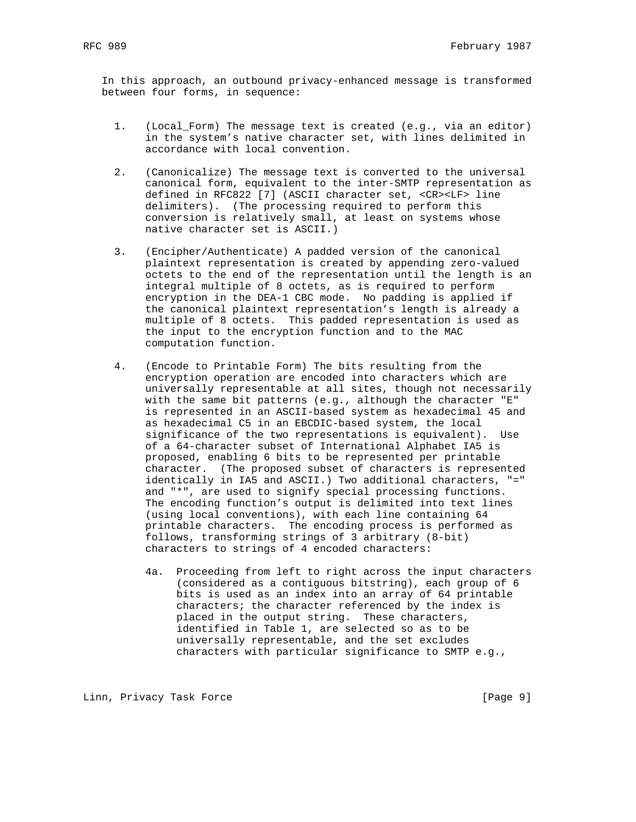In this approach, an outbound privacy-enhanced message is transformed between four forms, in sequence:

- 1. (Local\_Form) The message text is created (e.g., via an editor) in the system's native character set, with lines delimited in accordance with local convention.
- 2. (Canonicalize) The message text is converted to the universal canonical form, equivalent to the inter-SMTP representation as defined in RFC822 [7] (ASCII character set, <CR><LF> line delimiters). (The processing required to perform this conversion is relatively small, at least on systems whose native character set is ASCII.)
- 3. (Encipher/Authenticate) A padded version of the canonical plaintext representation is created by appending zero-valued octets to the end of the representation until the length is an integral multiple of 8 octets, as is required to perform encryption in the DEA-1 CBC mode. No padding is applied if the canonical plaintext representation's length is already a multiple of 8 octets. This padded representation is used as the input to the encryption function and to the MAC computation function.
- 4. (Encode to Printable Form) The bits resulting from the encryption operation are encoded into characters which are universally representable at all sites, though not necessarily with the same bit patterns (e.g., although the character "E" is represented in an ASCII-based system as hexadecimal 45 and as hexadecimal C5 in an EBCDIC-based system, the local significance of the two representations is equivalent). Use of a 64-character subset of International Alphabet IA5 is proposed, enabling 6 bits to be represented per printable character. (The proposed subset of characters is represented identically in IA5 and ASCII.) Two additional characters, "=" and "\*", are used to signify special processing functions. The encoding function's output is delimited into text lines (using local conventions), with each line containing 64 printable characters. The encoding process is performed as follows, transforming strings of 3 arbitrary (8-bit) characters to strings of 4 encoded characters:
	- 4a. Proceeding from left to right across the input characters (considered as a contiguous bitstring), each group of 6 bits is used as an index into an array of 64 printable characters; the character referenced by the index is placed in the output string. These characters, identified in Table 1, are selected so as to be universally representable, and the set excludes characters with particular significance to SMTP e.g.,

Linn, Privacy Task Force **East Communist Communist Communist Communist Communist Communist Communist Communist C**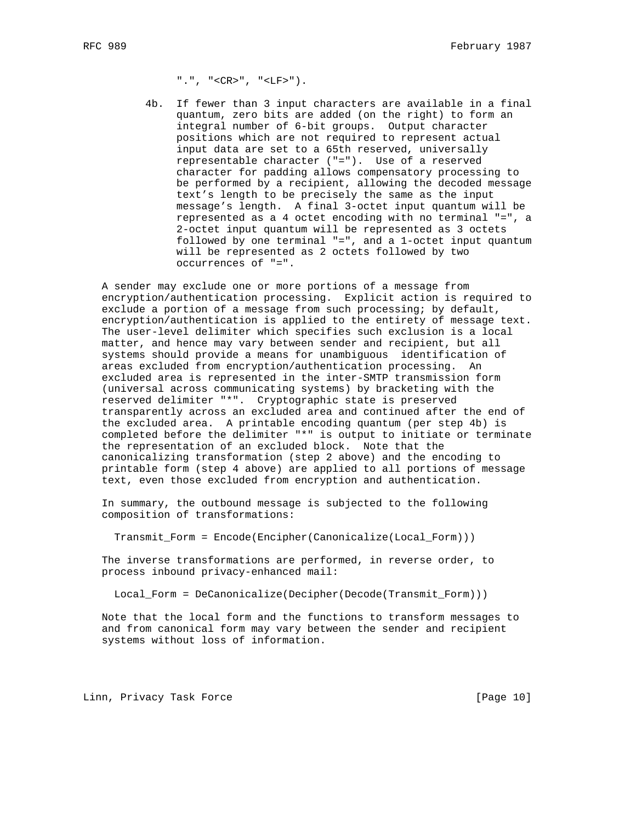".", "< $CR$ >", "< $LF$ >").

 4b. If fewer than 3 input characters are available in a final quantum, zero bits are added (on the right) to form an integral number of 6-bit groups. Output character positions which are not required to represent actual input data are set to a 65th reserved, universally representable character ("="). Use of a reserved character for padding allows compensatory processing to be performed by a recipient, allowing the decoded message text's length to be precisely the same as the input message's length. A final 3-octet input quantum will be represented as a 4 octet encoding with no terminal "=", a 2-octet input quantum will be represented as 3 octets followed by one terminal "=", and a 1-octet input quantum will be represented as 2 octets followed by two occurrences of "=".

 A sender may exclude one or more portions of a message from encryption/authentication processing. Explicit action is required to exclude a portion of a message from such processing; by default, encryption/authentication is applied to the entirety of message text. The user-level delimiter which specifies such exclusion is a local matter, and hence may vary between sender and recipient, but all systems should provide a means for unambiguous identification of areas excluded from encryption/authentication processing. An excluded area is represented in the inter-SMTP transmission form (universal across communicating systems) by bracketing with the reserved delimiter "\*". Cryptographic state is preserved transparently across an excluded area and continued after the end of the excluded area. A printable encoding quantum (per step 4b) is completed before the delimiter "\*" is output to initiate or terminate the representation of an excluded block. Note that the canonicalizing transformation (step 2 above) and the encoding to printable form (step 4 above) are applied to all portions of message text, even those excluded from encryption and authentication.

 In summary, the outbound message is subjected to the following composition of transformations:

Transmit\_Form = Encode(Encipher(Canonicalize(Local\_Form)))

 The inverse transformations are performed, in reverse order, to process inbound privacy-enhanced mail:

Local\_Form = DeCanonicalize(Decipher(Decode(Transmit\_Form)))

 Note that the local form and the functions to transform messages to and from canonical form may vary between the sender and recipient systems without loss of information.

Linn, Privacy Task Force [Page 10]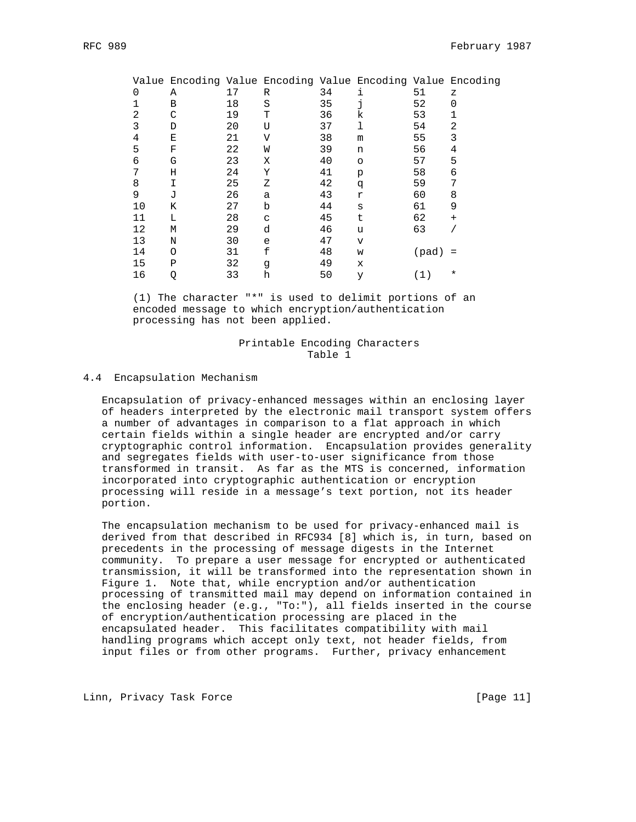|          |   |    | Value Encoding Value Encoding Value Encoding Value Encoding |    |              |       |          |
|----------|---|----|-------------------------------------------------------------|----|--------------|-------|----------|
| $\Omega$ | Α | 17 | R                                                           | 34 | i            | 51    | Ζ        |
| 1        | В | 18 | S                                                           | 35 |              | 52    | 0        |
| 2        | C | 19 | т                                                           | 36 | k            | 53    |          |
| 3        | D | 20 | U                                                           | 37 |              | 54    | 2        |
| 4        | Е | 21 | V                                                           | 38 | m            | 55    | 3        |
| 5        | F | 22 | W                                                           | 39 | n            | 56    | 4        |
| 6        | G | 23 | X                                                           | 40 | $\circ$      | 57    | 5        |
| 7        | Η | 24 | Υ                                                           | 41 | p            | 58    | 6        |
| 8        | I | 25 | Ζ                                                           | 42 | q            | 59    | 7        |
| 9        | J | 26 | a                                                           | 43 | r            | 60    | 8        |
| 10       | К | 27 | b                                                           | 44 | $\mathtt{s}$ | 61    | 9        |
| 11       | L | 28 | C                                                           | 45 | t            | 62    | $+$      |
| 12       | М | 29 | d                                                           | 46 | u            | 63    |          |
| 13       | N | 30 | e                                                           | 47 | $\mathbf{v}$ |       |          |
| 14       | Ο | 31 | f                                                           | 48 | W            | (pad) | $=$      |
| 15       | Ρ | 32 | g                                                           | 49 | $\mathbf x$  |       |          |
| 16       | Q | 33 | h                                                           | 50 | У            | (1)   | $^\star$ |

 (1) The character "\*" is used to delimit portions of an encoded message to which encryption/authentication processing has not been applied.

# Printable Encoding Characters Table 1

#### 4.4 Encapsulation Mechanism

 Encapsulation of privacy-enhanced messages within an enclosing layer of headers interpreted by the electronic mail transport system offers a number of advantages in comparison to a flat approach in which certain fields within a single header are encrypted and/or carry cryptographic control information. Encapsulation provides generality and segregates fields with user-to-user significance from those transformed in transit. As far as the MTS is concerned, information incorporated into cryptographic authentication or encryption processing will reside in a message's text portion, not its header portion.

 The encapsulation mechanism to be used for privacy-enhanced mail is derived from that described in RFC934 [8] which is, in turn, based on precedents in the processing of message digests in the Internet community. To prepare a user message for encrypted or authenticated transmission, it will be transformed into the representation shown in Figure 1. Note that, while encryption and/or authentication processing of transmitted mail may depend on information contained in the enclosing header (e.g., "To:"), all fields inserted in the course of encryption/authentication processing are placed in the encapsulated header. This facilitates compatibility with mail handling programs which accept only text, not header fields, from input files or from other programs. Further, privacy enhancement

Linn, Privacy Task Force [Page 11]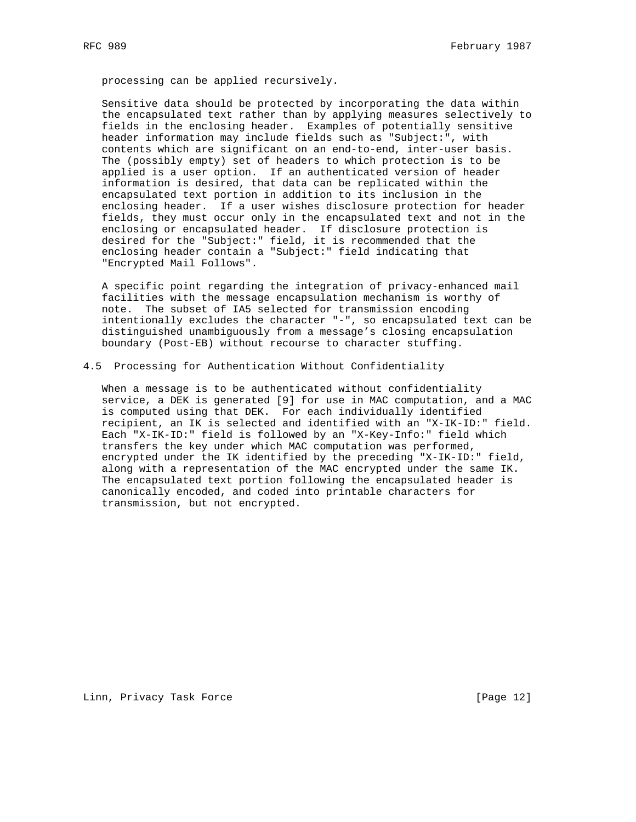processing can be applied recursively.

 Sensitive data should be protected by incorporating the data within the encapsulated text rather than by applying measures selectively to fields in the enclosing header. Examples of potentially sensitive header information may include fields such as "Subject:", with contents which are significant on an end-to-end, inter-user basis. The (possibly empty) set of headers to which protection is to be applied is a user option. If an authenticated version of header information is desired, that data can be replicated within the encapsulated text portion in addition to its inclusion in the enclosing header. If a user wishes disclosure protection for header fields, they must occur only in the encapsulated text and not in the enclosing or encapsulated header. If disclosure protection is desired for the "Subject:" field, it is recommended that the enclosing header contain a "Subject:" field indicating that "Encrypted Mail Follows".

 A specific point regarding the integration of privacy-enhanced mail facilities with the message encapsulation mechanism is worthy of note. The subset of IA5 selected for transmission encoding intentionally excludes the character "-", so encapsulated text can be distinguished unambiguously from a message's closing encapsulation boundary (Post-EB) without recourse to character stuffing.

### 4.5 Processing for Authentication Without Confidentiality

 When a message is to be authenticated without confidentiality service, a DEK is generated [9] for use in MAC computation, and a MAC is computed using that DEK. For each individually identified recipient, an IK is selected and identified with an "X-IK-ID:" field. Each "X-IK-ID:" field is followed by an "X-Key-Info:" field which transfers the key under which MAC computation was performed, encrypted under the IK identified by the preceding "X-IK-ID:" field, along with a representation of the MAC encrypted under the same IK. The encapsulated text portion following the encapsulated header is canonically encoded, and coded into printable characters for transmission, but not encrypted.

Linn, Privacy Task Force [Page 12]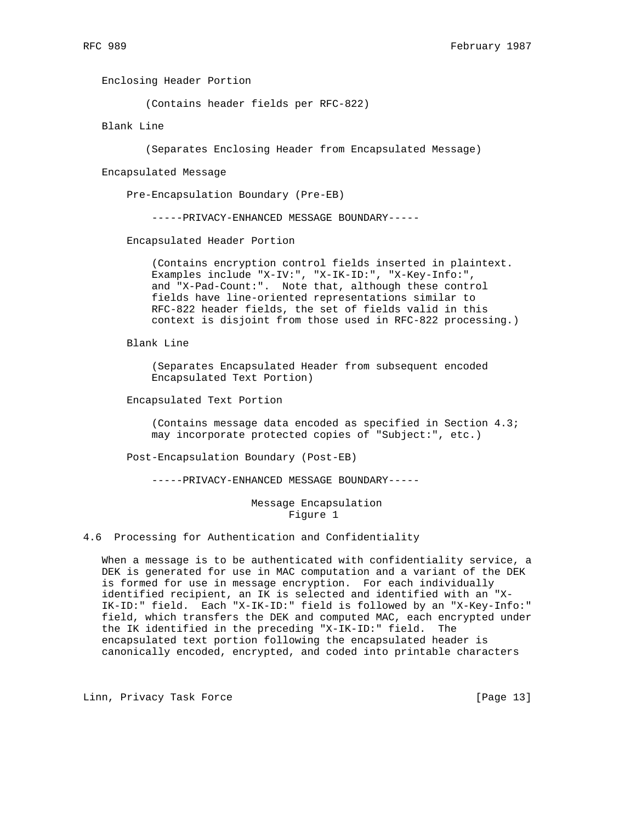Enclosing Header Portion

(Contains header fields per RFC-822)

Blank Line

(Separates Enclosing Header from Encapsulated Message)

Encapsulated Message

Pre-Encapsulation Boundary (Pre-EB)

-----PRIVACY-ENHANCED MESSAGE BOUNDARY-----

Encapsulated Header Portion

 (Contains encryption control fields inserted in plaintext. Examples include "X-IV:", "X-IK-ID:", "X-Key-Info:", and "X-Pad-Count:". Note that, although these control fields have line-oriented representations similar to RFC-822 header fields, the set of fields valid in this context is disjoint from those used in RFC-822 processing.)

Blank Line

 (Separates Encapsulated Header from subsequent encoded Encapsulated Text Portion)

Encapsulated Text Portion

 (Contains message data encoded as specified in Section 4.3; may incorporate protected copies of "Subject:", etc.)

Post-Encapsulation Boundary (Post-EB)

-----PRIVACY-ENHANCED MESSAGE BOUNDARY-----

 Message Encapsulation Figure 1

4.6 Processing for Authentication and Confidentiality

 When a message is to be authenticated with confidentiality service, a DEK is generated for use in MAC computation and a variant of the DEK is formed for use in message encryption. For each individually identified recipient, an IK is selected and identified with an "X- IK-ID:" field. Each "X-IK-ID:" field is followed by an "X-Key-Info:" field, which transfers the DEK and computed MAC, each encrypted under the IK identified in the preceding "X-IK-ID:" field. The encapsulated text portion following the encapsulated header is canonically encoded, encrypted, and coded into printable characters

Linn, Privacy Task Force [Page 13]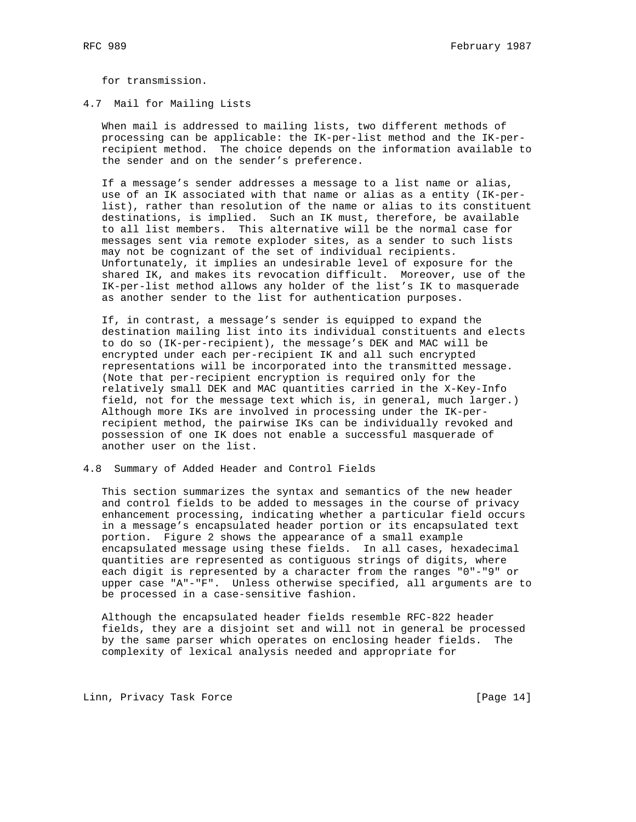for transmission.

#### 4.7 Mail for Mailing Lists

 When mail is addressed to mailing lists, two different methods of processing can be applicable: the IK-per-list method and the IK-per recipient method. The choice depends on the information available to the sender and on the sender's preference.

 If a message's sender addresses a message to a list name or alias, use of an IK associated with that name or alias as a entity (IK-per list), rather than resolution of the name or alias to its constituent destinations, is implied. Such an IK must, therefore, be available to all list members. This alternative will be the normal case for messages sent via remote exploder sites, as a sender to such lists may not be cognizant of the set of individual recipients. Unfortunately, it implies an undesirable level of exposure for the shared IK, and makes its revocation difficult. Moreover, use of the IK-per-list method allows any holder of the list's IK to masquerade as another sender to the list for authentication purposes.

 If, in contrast, a message's sender is equipped to expand the destination mailing list into its individual constituents and elects to do so (IK-per-recipient), the message's DEK and MAC will be encrypted under each per-recipient IK and all such encrypted representations will be incorporated into the transmitted message. (Note that per-recipient encryption is required only for the relatively small DEK and MAC quantities carried in the X-Key-Info field, not for the message text which is, in general, much larger.) Although more IKs are involved in processing under the IK-per recipient method, the pairwise IKs can be individually revoked and possession of one IK does not enable a successful masquerade of another user on the list.

### 4.8 Summary of Added Header and Control Fields

 This section summarizes the syntax and semantics of the new header and control fields to be added to messages in the course of privacy enhancement processing, indicating whether a particular field occurs in a message's encapsulated header portion or its encapsulated text portion. Figure 2 shows the appearance of a small example encapsulated message using these fields. In all cases, hexadecimal quantities are represented as contiguous strings of digits, where each digit is represented by a character from the ranges "0"-"9" or upper case "A"-"F". Unless otherwise specified, all arguments are to be processed in a case-sensitive fashion.

 Although the encapsulated header fields resemble RFC-822 header fields, they are a disjoint set and will not in general be processed by the same parser which operates on enclosing header fields. The complexity of lexical analysis needed and appropriate for

Linn, Privacy Task Force [Page 14]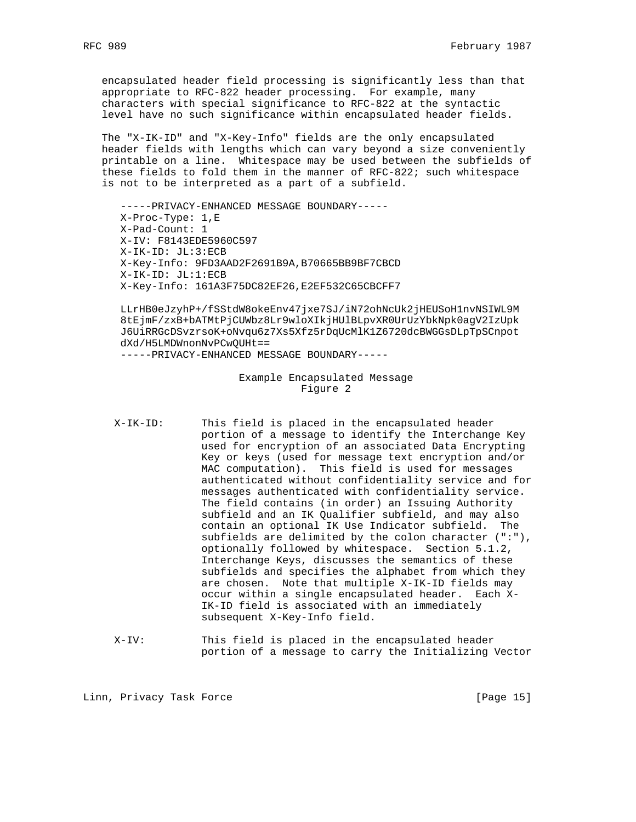encapsulated header field processing is significantly less than that appropriate to RFC-822 header processing. For example, many characters with special significance to RFC-822 at the syntactic level have no such significance within encapsulated header fields.

 The "X-IK-ID" and "X-Key-Info" fields are the only encapsulated header fields with lengths which can vary beyond a size conveniently printable on a line. Whitespace may be used between the subfields of these fields to fold them in the manner of RFC-822; such whitespace is not to be interpreted as a part of a subfield.

 -----PRIVACY-ENHANCED MESSAGE BOUNDARY----- X-Proc-Type: 1,E X-Pad-Count: 1 X-IV: F8143EDE5960C597 X-IK-ID: JL:3:ECB X-Key-Info: 9FD3AAD2F2691B9A,B70665BB9BF7CBCD X-IK-ID: JL:1:ECB X-Key-Info: 161A3F75DC82EF26,E2EF532C65CBCFF7

 LLrHB0eJzyhP+/fSStdW8okeEnv47jxe7SJ/iN72ohNcUk2jHEUSoH1nvNSIWL9M 8tEjmF/zxB+bATMtPjCUWbz8Lr9wloXIkjHUlBLpvXR0UrUzYbkNpk0agV2IzUpk J6UiRRGcDSvzrsoK+oNvqu6z7Xs5Xfz5rDqUcMlK1Z6720dcBWGGsDLpTpSCnpot dXd/H5LMDWnonNvPCwQUHt==

-----PRIVACY-ENHANCED MESSAGE BOUNDARY-----

# Example Encapsulated Message Figure 2

- X-IK-ID: This field is placed in the encapsulated header portion of a message to identify the Interchange Key used for encryption of an associated Data Encrypting Key or keys (used for message text encryption and/or MAC computation). This field is used for messages authenticated without confidentiality service and for messages authenticated with confidentiality service. The field contains (in order) an Issuing Authority subfield and an IK Qualifier subfield, and may also contain an optional IK Use Indicator subfield. The subfields are delimited by the colon character (":"), optionally followed by whitespace. Section 5.1.2, Interchange Keys, discusses the semantics of these subfields and specifies the alphabet from which they are chosen. Note that multiple X-IK-ID fields may occur within a single encapsulated header. Each X- IK-ID field is associated with an immediately subsequent X-Key-Info field.
- X-IV: This field is placed in the encapsulated header portion of a message to carry the Initializing Vector

Linn, Privacy Task Force [Page 15]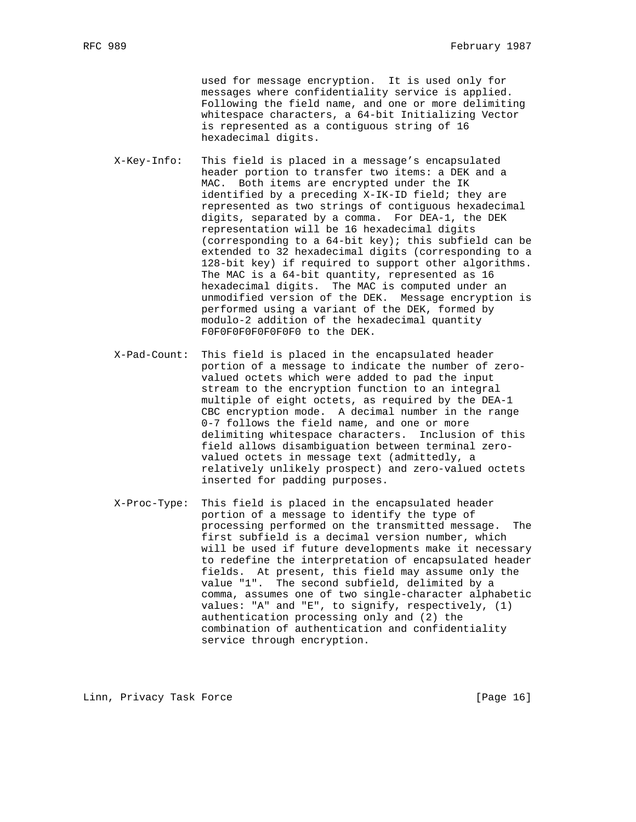used for message encryption. It is used only for messages where confidentiality service is applied. Following the field name, and one or more delimiting whitespace characters, a 64-bit Initializing Vector is represented as a contiguous string of 16 hexadecimal digits.

- X-Key-Info: This field is placed in a message's encapsulated header portion to transfer two items: a DEK and a MAC. Both items are encrypted under the IK identified by a preceding X-IK-ID field; they are represented as two strings of contiguous hexadecimal digits, separated by a comma. For DEA-1, the DEK representation will be 16 hexadecimal digits (corresponding to a 64-bit key); this subfield can be extended to 32 hexadecimal digits (corresponding to a 128-bit key) if required to support other algorithms. The MAC is a 64-bit quantity, represented as 16 hexadecimal digits. The MAC is computed under an unmodified version of the DEK. Message encryption is performed using a variant of the DEK, formed by modulo-2 addition of the hexadecimal quantity F0F0F0F0F0F0F0F0 to the DEK.
- X-Pad-Count: This field is placed in the encapsulated header portion of a message to indicate the number of zero valued octets which were added to pad the input stream to the encryption function to an integral multiple of eight octets, as required by the DEA-1 CBC encryption mode. A decimal number in the range 0-7 follows the field name, and one or more delimiting whitespace characters. Inclusion of this field allows disambiguation between terminal zero valued octets in message text (admittedly, a relatively unlikely prospect) and zero-valued octets inserted for padding purposes.
- X-Proc-Type: This field is placed in the encapsulated header portion of a message to identify the type of processing performed on the transmitted message. The first subfield is a decimal version number, which will be used if future developments make it necessary to redefine the interpretation of encapsulated header fields. At present, this field may assume only the value "1". The second subfield, delimited by a comma, assumes one of two single-character alphabetic values: "A" and "E", to signify, respectively, (1) authentication processing only and (2) the combination of authentication and confidentiality service through encryption.

Linn, Privacy Task Force [Page 16]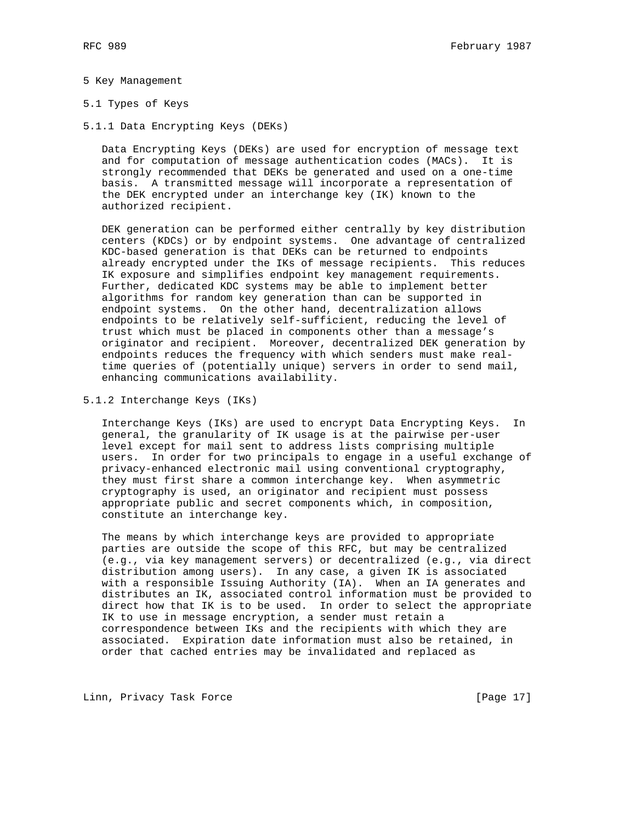5 Key Management

5.1 Types of Keys

5.1.1 Data Encrypting Keys (DEKs)

 Data Encrypting Keys (DEKs) are used for encryption of message text and for computation of message authentication codes (MACs). It is strongly recommended that DEKs be generated and used on a one-time basis. A transmitted message will incorporate a representation of the DEK encrypted under an interchange key (IK) known to the authorized recipient.

 DEK generation can be performed either centrally by key distribution centers (KDCs) or by endpoint systems. One advantage of centralized KDC-based generation is that DEKs can be returned to endpoints already encrypted under the IKs of message recipients. This reduces IK exposure and simplifies endpoint key management requirements. Further, dedicated KDC systems may be able to implement better algorithms for random key generation than can be supported in endpoint systems. On the other hand, decentralization allows endpoints to be relatively self-sufficient, reducing the level of trust which must be placed in components other than a message's originator and recipient. Moreover, decentralized DEK generation by endpoints reduces the frequency with which senders must make real time queries of (potentially unique) servers in order to send mail, enhancing communications availability.

5.1.2 Interchange Keys (IKs)

 Interchange Keys (IKs) are used to encrypt Data Encrypting Keys. In general, the granularity of IK usage is at the pairwise per-user level except for mail sent to address lists comprising multiple users. In order for two principals to engage in a useful exchange of privacy-enhanced electronic mail using conventional cryptography, they must first share a common interchange key. When asymmetric cryptography is used, an originator and recipient must possess appropriate public and secret components which, in composition, constitute an interchange key.

 The means by which interchange keys are provided to appropriate parties are outside the scope of this RFC, but may be centralized (e.g., via key management servers) or decentralized (e.g., via direct distribution among users). In any case, a given IK is associated with a responsible Issuing Authority (IA). When an IA generates and distributes an IK, associated control information must be provided to direct how that IK is to be used. In order to select the appropriate IK to use in message encryption, a sender must retain a correspondence between IKs and the recipients with which they are associated. Expiration date information must also be retained, in order that cached entries may be invalidated and replaced as

Linn, Privacy Task Force [Page 17]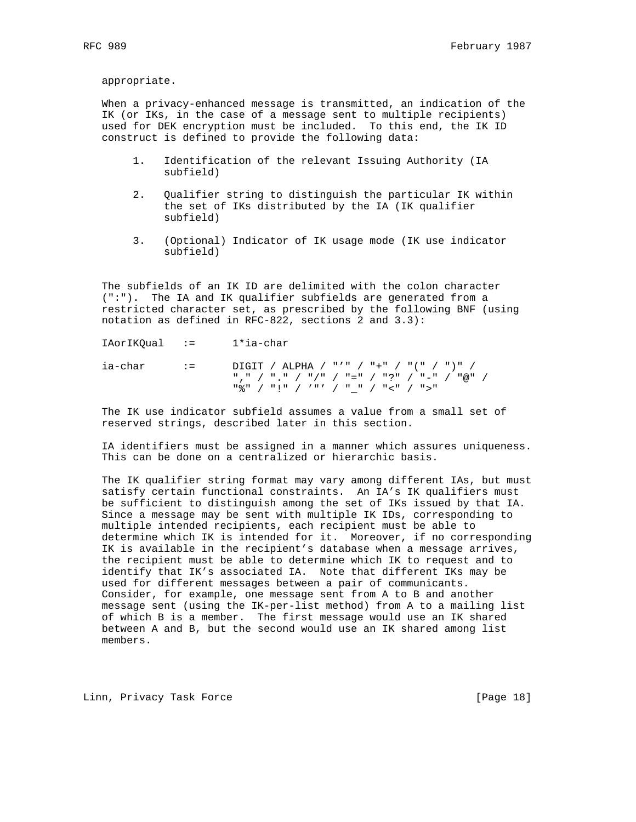appropriate.

 When a privacy-enhanced message is transmitted, an indication of the IK (or IKs, in the case of a message sent to multiple recipients) used for DEK encryption must be included. To this end, the IK ID construct is defined to provide the following data:

- 1. Identification of the relevant Issuing Authority (IA subfield)
- 2. Qualifier string to distinguish the particular IK within the set of IKs distributed by the IA (IK qualifier subfield)
- 3. (Optional) Indicator of IK usage mode (IK use indicator subfield)

 The subfields of an IK ID are delimited with the colon character (":"). The IA and IK qualifier subfields are generated from a restricted character set, as prescribed by the following BNF (using notation as defined in RFC-822, sections 2 and 3.3):

| IAorIKOual := |                                | l*ia-char                                                                                   |
|---------------|--------------------------------|---------------------------------------------------------------------------------------------|
| ia-char       | $\mathbf{1} \equiv \mathbf{1}$ | $DIGIT / ALPHA / "''" / "+" / "("''")" /$                                                   |
|               |                                | " , " / " , " / " /" / " = " / " ? " / " − " / " @ " /<br>"응" / "!" / '"' / " " / "<" / ">" |

 The IK use indicator subfield assumes a value from a small set of reserved strings, described later in this section.

 IA identifiers must be assigned in a manner which assures uniqueness. This can be done on a centralized or hierarchic basis.

 The IK qualifier string format may vary among different IAs, but must satisfy certain functional constraints. An IA's IK qualifiers must be sufficient to distinguish among the set of IKs issued by that IA. Since a message may be sent with multiple IK IDs, corresponding to multiple intended recipients, each recipient must be able to determine which IK is intended for it. Moreover, if no corresponding IK is available in the recipient's database when a message arrives, the recipient must be able to determine which IK to request and to identify that IK's associated IA. Note that different IKs may be used for different messages between a pair of communicants. Consider, for example, one message sent from A to B and another message sent (using the IK-per-list method) from A to a mailing list of which B is a member. The first message would use an IK shared between A and B, but the second would use an IK shared among list members.

Linn, Privacy Task Force [Page 18]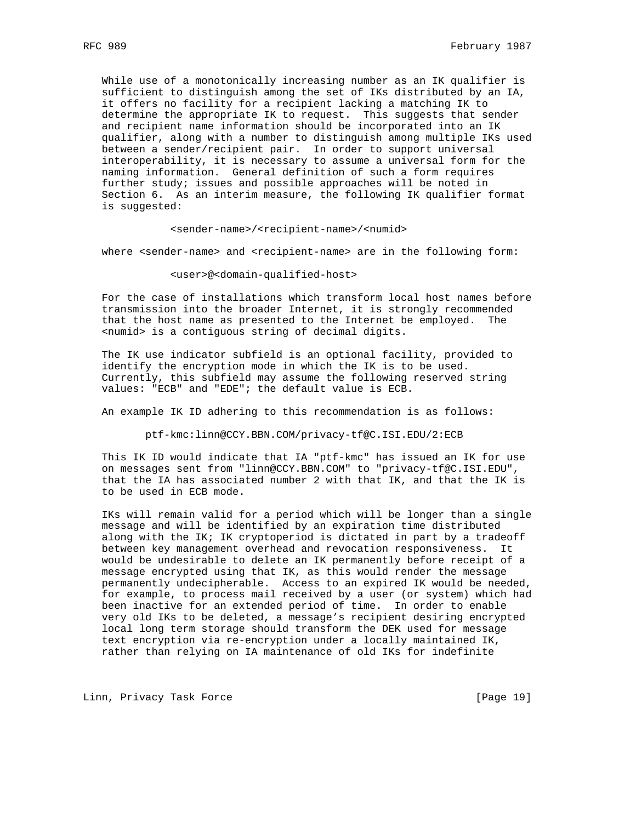While use of a monotonically increasing number as an IK qualifier is sufficient to distinguish among the set of IKs distributed by an IA, it offers no facility for a recipient lacking a matching IK to determine the appropriate IK to request. This suggests that sender and recipient name information should be incorporated into an IK qualifier, along with a number to distinguish among multiple IKs used between a sender/recipient pair. In order to support universal interoperability, it is necessary to assume a universal form for the naming information. General definition of such a form requires further study; issues and possible approaches will be noted in Section 6. As an interim measure, the following IK qualifier format is suggested:

<sender-name>/<recipient-name>/<numid>

where <sender-name> and <recipient-name> are in the following form:

<user>@<domain-qualified-host>

 For the case of installations which transform local host names before transmission into the broader Internet, it is strongly recommended that the host name as presented to the Internet be employed. The <numid> is a contiguous string of decimal digits.

 The IK use indicator subfield is an optional facility, provided to identify the encryption mode in which the IK is to be used. Currently, this subfield may assume the following reserved string values: "ECB" and "EDE"; the default value is ECB.

An example IK ID adhering to this recommendation is as follows:

ptf-kmc:linn@CCY.BBN.COM/privacy-tf@C.ISI.EDU/2:ECB

 This IK ID would indicate that IA "ptf-kmc" has issued an IK for use on messages sent from "linn@CCY.BBN.COM" to "privacy-tf@C.ISI.EDU", that the IA has associated number 2 with that IK, and that the IK is to be used in ECB mode.

 IKs will remain valid for a period which will be longer than a single message and will be identified by an expiration time distributed along with the IK; IK cryptoperiod is dictated in part by a tradeoff between key management overhead and revocation responsiveness. It would be undesirable to delete an IK permanently before receipt of a message encrypted using that IK, as this would render the message permanently undecipherable. Access to an expired IK would be needed, for example, to process mail received by a user (or system) which had been inactive for an extended period of time. In order to enable very old IKs to be deleted, a message's recipient desiring encrypted local long term storage should transform the DEK used for message text encryption via re-encryption under a locally maintained IK, rather than relying on IA maintenance of old IKs for indefinite

Linn, Privacy Task Force [Page 19]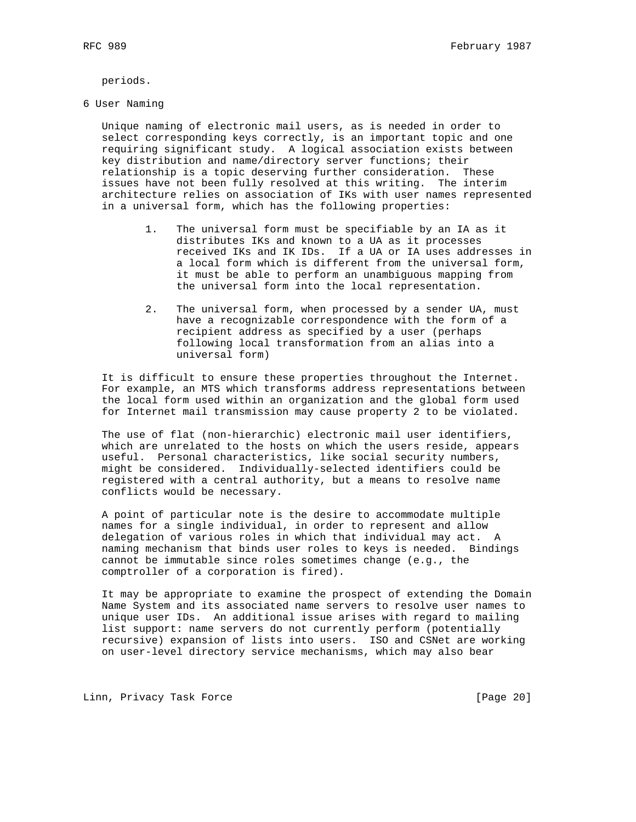periods.

6 User Naming

 Unique naming of electronic mail users, as is needed in order to select corresponding keys correctly, is an important topic and one requiring significant study. A logical association exists between key distribution and name/directory server functions; their relationship is a topic deserving further consideration. These issues have not been fully resolved at this writing. The interim architecture relies on association of IKs with user names represented in a universal form, which has the following properties:

- 1. The universal form must be specifiable by an IA as it distributes IKs and known to a UA as it processes received IKs and IK IDs. If a UA or IA uses addresses in a local form which is different from the universal form, it must be able to perform an unambiguous mapping from the universal form into the local representation.
- 2. The universal form, when processed by a sender UA, must have a recognizable correspondence with the form of a recipient address as specified by a user (perhaps following local transformation from an alias into a universal form)

 It is difficult to ensure these properties throughout the Internet. For example, an MTS which transforms address representations between the local form used within an organization and the global form used for Internet mail transmission may cause property 2 to be violated.

 The use of flat (non-hierarchic) electronic mail user identifiers, which are unrelated to the hosts on which the users reside, appears useful. Personal characteristics, like social security numbers, might be considered. Individually-selected identifiers could be registered with a central authority, but a means to resolve name conflicts would be necessary.

 A point of particular note is the desire to accommodate multiple names for a single individual, in order to represent and allow delegation of various roles in which that individual may act. A naming mechanism that binds user roles to keys is needed. Bindings cannot be immutable since roles sometimes change (e.g., the comptroller of a corporation is fired).

 It may be appropriate to examine the prospect of extending the Domain Name System and its associated name servers to resolve user names to unique user IDs. An additional issue arises with regard to mailing list support: name servers do not currently perform (potentially recursive) expansion of lists into users. ISO and CSNet are working on user-level directory service mechanisms, which may also bear

Linn, Privacy Task Force [Page 20]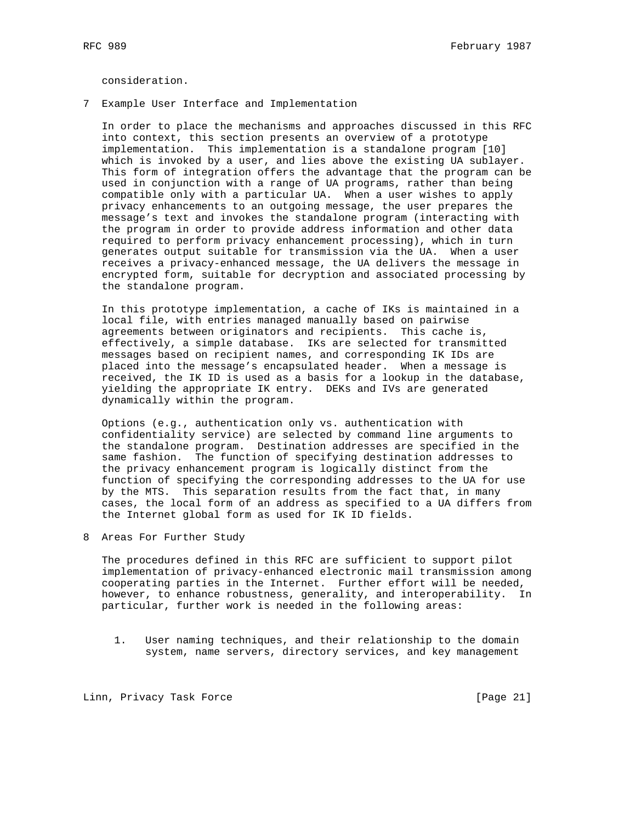consideration.

7 Example User Interface and Implementation

 In order to place the mechanisms and approaches discussed in this RFC into context, this section presents an overview of a prototype implementation. This implementation is a standalone program [10] which is invoked by a user, and lies above the existing UA sublayer. This form of integration offers the advantage that the program can be used in conjunction with a range of UA programs, rather than being compatible only with a particular UA. When a user wishes to apply privacy enhancements to an outgoing message, the user prepares the message's text and invokes the standalone program (interacting with the program in order to provide address information and other data required to perform privacy enhancement processing), which in turn generates output suitable for transmission via the UA. When a user receives a privacy-enhanced message, the UA delivers the message in encrypted form, suitable for decryption and associated processing by the standalone program.

 In this prototype implementation, a cache of IKs is maintained in a local file, with entries managed manually based on pairwise agreements between originators and recipients. This cache is, effectively, a simple database. IKs are selected for transmitted messages based on recipient names, and corresponding IK IDs are placed into the message's encapsulated header. When a message is received, the IK ID is used as a basis for a lookup in the database, yielding the appropriate IK entry. DEKs and IVs are generated dynamically within the program.

 Options (e.g., authentication only vs. authentication with confidentiality service) are selected by command line arguments to the standalone program. Destination addresses are specified in the same fashion. The function of specifying destination addresses to the privacy enhancement program is logically distinct from the function of specifying the corresponding addresses to the UA for use by the MTS. This separation results from the fact that, in many cases, the local form of an address as specified to a UA differs from the Internet global form as used for IK ID fields.

8 Areas For Further Study

 The procedures defined in this RFC are sufficient to support pilot implementation of privacy-enhanced electronic mail transmission among cooperating parties in the Internet. Further effort will be needed, however, to enhance robustness, generality, and interoperability. In particular, further work is needed in the following areas:

 1. User naming techniques, and their relationship to the domain system, name servers, directory services, and key management

Linn, Privacy Task Force [Page 21]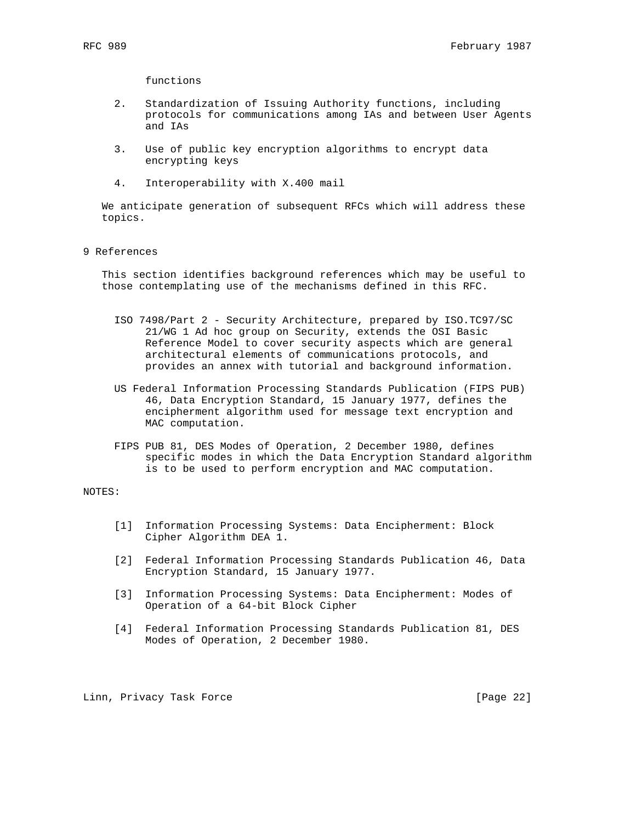functions

- 2. Standardization of Issuing Authority functions, including protocols for communications among IAs and between User Agents and IAs
- 3. Use of public key encryption algorithms to encrypt data encrypting keys
- 4. Interoperability with X.400 mail

 We anticipate generation of subsequent RFCs which will address these topics.

9 References

 This section identifies background references which may be useful to those contemplating use of the mechanisms defined in this RFC.

- ISO 7498/Part 2 Security Architecture, prepared by ISO.TC97/SC 21/WG 1 Ad hoc group on Security, extends the OSI Basic Reference Model to cover security aspects which are general architectural elements of communications protocols, and provides an annex with tutorial and background information.
- US Federal Information Processing Standards Publication (FIPS PUB) 46, Data Encryption Standard, 15 January 1977, defines the encipherment algorithm used for message text encryption and MAC computation.
- FIPS PUB 81, DES Modes of Operation, 2 December 1980, defines specific modes in which the Data Encryption Standard algorithm is to be used to perform encryption and MAC computation.

## NOTES:

- [1] Information Processing Systems: Data Encipherment: Block Cipher Algorithm DEA 1.
- [2] Federal Information Processing Standards Publication 46, Data Encryption Standard, 15 January 1977.
- [3] Information Processing Systems: Data Encipherment: Modes of Operation of a 64-bit Block Cipher
- [4] Federal Information Processing Standards Publication 81, DES Modes of Operation, 2 December 1980.

Linn, Privacy Task Force [Page 22]